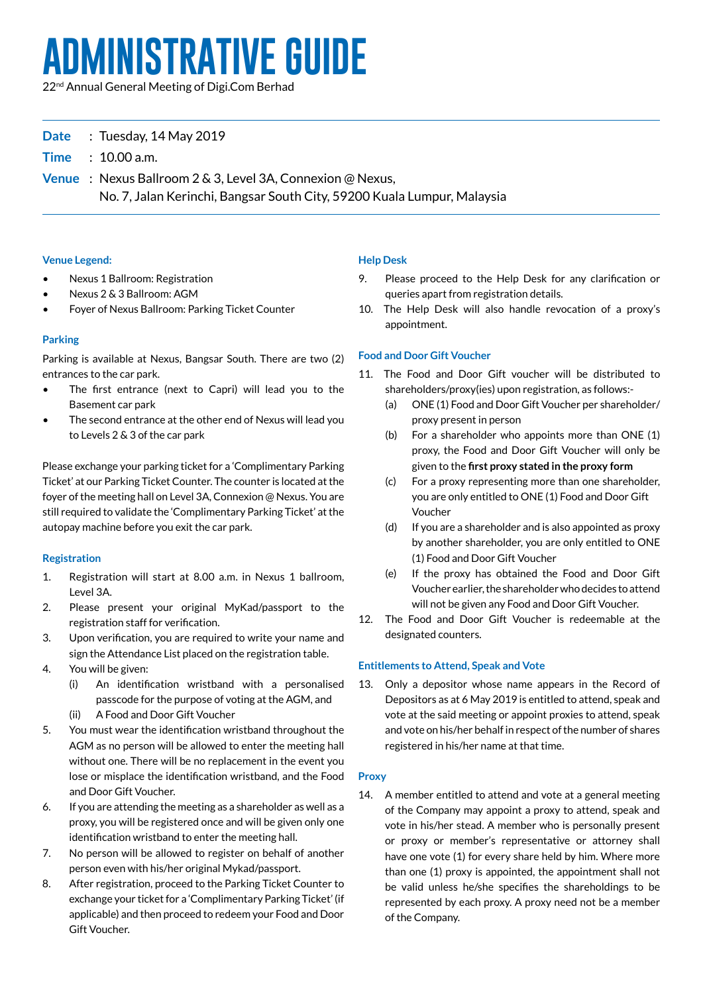# **ADMINISTRATIVE guide**

22nd Annual General Meeting of Digi.Com Berhad

# **Date** : Tuesday, 14 May 2019

**Time** : 10.00 a.m.

**Venue** : Nexus Ballroom 2 & 3, Level 3A, Connexion @ Nexus, No. 7, Jalan Kerinchi, Bangsar South City, 59200 Kuala Lumpur, Malaysia

## **Venue Legend:**

- Nexus 1 Ballroom: Registration
- Nexus 2 & 3 Ballroom: AGM
- Foyer of Nexus Ballroom: Parking Ticket Counter

# **Parking**

Parking is available at Nexus, Bangsar South. There are two (2) entrances to the car park.

- The first entrance (next to Capri) will lead you to the Basement car park
- The second entrance at the other end of Nexus will lead you to Levels 2 & 3 of the car park

Please exchange your parking ticket for a 'Complimentary Parking Ticket' at our Parking Ticket Counter. The counter is located at the foyer of the meeting hall on Level 3A, Connexion @ Nexus. You are still required to validate the 'Complimentary Parking Ticket' at the autopay machine before you exit the car park.

# **Registration**

- 1. Registration will start at 8.00 a.m. in Nexus 1 ballroom, Level 3A.
- 2. Please present your original MyKad/passport to the registration staff for verification.
- 3. Upon verification, you are required to write your name and sign the Attendance List placed on the registration table.
- 4. You will be given:
	- (i) An identification wristband with a personalised passcode for the purpose of voting at the AGM, and
	- (ii) A Food and Door Gift Voucher
- 5. You must wear the identification wristband throughout the AGM as no person will be allowed to enter the meeting hall without one. There will be no replacement in the event you lose or misplace the identification wristband, and the Food and Door Gift Voucher.
- 6. If you are attending the meeting as a shareholder as well as a proxy, you will be registered once and will be given only one identification wristband to enter the meeting hall.
- 7. No person will be allowed to register on behalf of another person even with his/her original Mykad/passport.
- 8. After registration, proceed to the Parking Ticket Counter to exchange your ticket for a 'Complimentary Parking Ticket' (if applicable) and then proceed to redeem your Food and Door Gift Voucher.

## **Help Desk**

- 9. Please proceed to the Help Desk for any clarification or queries apart from registration details.
- 10. The Help Desk will also handle revocation of a proxy's appointment.

# **Food and Door Gift Voucher**

- 11. The Food and Door Gift voucher will be distributed to shareholders/proxy(ies) upon registration, as follows:-
	- (a) ONE (1) Food and Door Gift Voucher per shareholder/ proxy present in person
	- (b) For a shareholder who appoints more than ONE  $(1)$ proxy, the Food and Door Gift Voucher will only be given to the **first proxy stated in the proxy form**
	- (c) For a proxy representing more than one shareholder, you are only entitled to ONE (1) Food and Door Gift Voucher
	- $(d)$  If you are a shareholder and is also appointed as proxy by another shareholder, you are only entitled to ONE (1) Food and Door Gift Voucher
	- (e) If the proxy has obtained the Food and Door Gift Voucher earlier, the shareholder who decides to attend will not be given any Food and Door Gift Voucher.
- 12. The Food and Door Gift Voucher is redeemable at the designated counters.

#### **Entitlements to Attend, Speak and Vote**

13. Only a depositor whose name appears in the Record of Depositors as at 6 May 2019 is entitled to attend, speak and vote at the said meeting or appoint proxies to attend, speak and vote on his/her behalf in respect of the number of shares registered in his/her name at that time.

# **Proxy**

14. A member entitled to attend and vote at a general meeting of the Company may appoint a proxy to attend, speak and vote in his/her stead. A member who is personally present or proxy or member's representative or attorney shall have one vote (1) for every share held by him. Where more than one (1) proxy is appointed, the appointment shall not be valid unless he/she specifies the shareholdings to be represented by each proxy. A proxy need not be a member of the Company.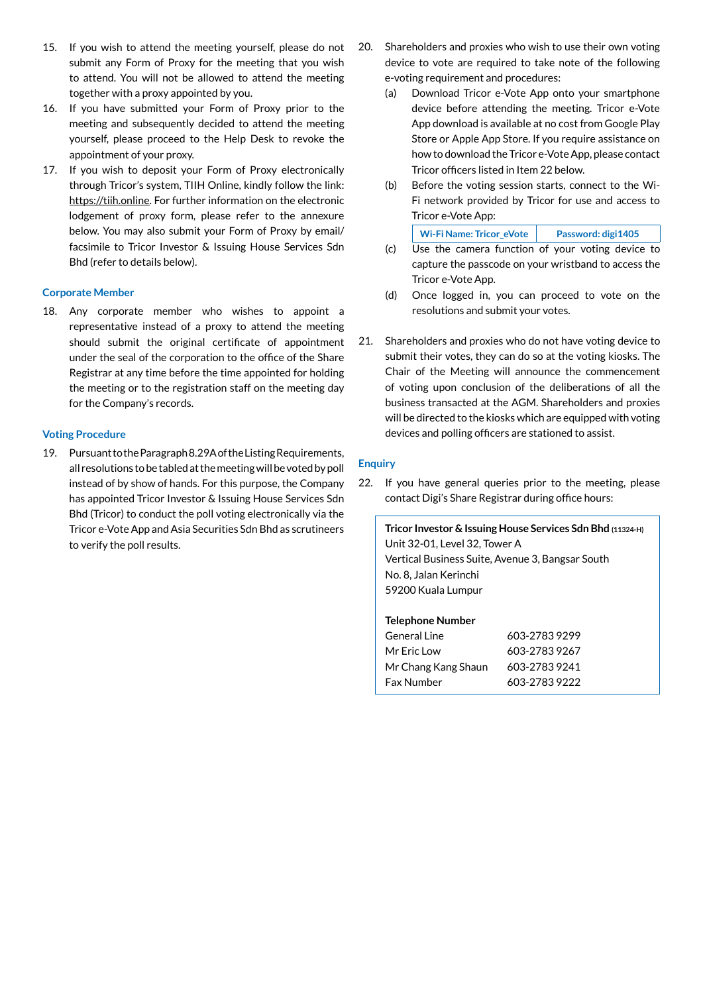- 15. If you wish to attend the meeting yourself, please do not submit any Form of Proxy for the meeting that you wish to attend. You will not be allowed to attend the meeting together with a proxy appointed by you.
- 16. If you have submitted your Form of Proxy prior to the meeting and subsequently decided to attend the meeting yourself, please proceed to the Help Desk to revoke the appointment of your proxy.
- 17. If you wish to deposit your Form of Proxy electronically through Tricor's system, TIIH Online, kindly follow the link: https://tiih.online. For further information on the electronic lodgement of proxy form, please refer to the annexure below. You may also submit your Form of Proxy by email/ facsimile to Tricor Investor & Issuing House Services Sdn Bhd (refer to details below).

#### **Corporate Member**

18. Any corporate member who wishes to appoint a representative instead of a proxy to attend the meeting should submit the original certificate of appointment under the seal of the corporation to the office of the Share Registrar at any time before the time appointed for holding the meeting or to the registration staff on the meeting day for the Company's records.

#### **Voting Procedure**

19. PursuanttotheParagraph8.29AoftheListingRequirements, all resolutions to be tabled at the meeting will be voted by poll instead of by show of hands. For this purpose, the Company has appointed Tricor Investor & Issuing House Services Sdn Bhd (Tricor) to conduct the poll voting electronically via the Tricor e-Vote App and Asia Securities Sdn Bhd as scrutineers to verify the poll results.

- 20. Shareholders and proxies who wish to use their own voting device to vote are required to take note of the following e-voting requirement and procedures:
	- (a) Download Tricor e-Vote App onto your smartphone device before attending the meeting. Tricor e-Vote App download is available at no cost from Google Play Store or Apple App Store. If you require assistance on howto download the Tricor e-VoteApp, please contact Tricor officers listed in Item 22 below.
	- (b) Before the voting session starts, connect to the Wi-Fi network provided by Tricor for use and access to Tricor e-Vote App:

| Wi-Fi Name: Tricor eVote | Password: digi1405 |
|--------------------------|--------------------|
|--------------------------|--------------------|

- (c) Use the camera function of your voting device to capture the passcode on your wristband to access the Tricor e-Vote App.
- (d) Once logged in, you can proceed to vote on the resolutions and submit your votes.
- 21. Shareholders and proxies who do not have voting device to submit their votes, they can do so at the voting kiosks. The Chair of the Meeting will announce the commencement of voting upon conclusion of the deliberations of all the business transacted at the AGM. Shareholders and proxies will be directed to the kiosks which are equipped with voting devices and polling officers are stationed to assist.

#### **Enquiry**

22. If you have general queries prior to the meeting, please contact Digi's Share Registrar during office hours:

**Tricor Investor & Issuing House Services Sdn Bhd (11324-H)** Unit 32-01, Level 32, Tower A Vertical Business Suite, Avenue 3, Bangsar South No. 8, Jalan Kerinchi 59200 Kuala Lumpur

#### **Telephone Number**

| General Line        | 603-27839299  |
|---------------------|---------------|
| Mr Fric Low         | 603-27839267  |
| Mr Chang Kang Shaun | 603-27839241  |
| <b>Fax Number</b>   | 603-2783 9222 |